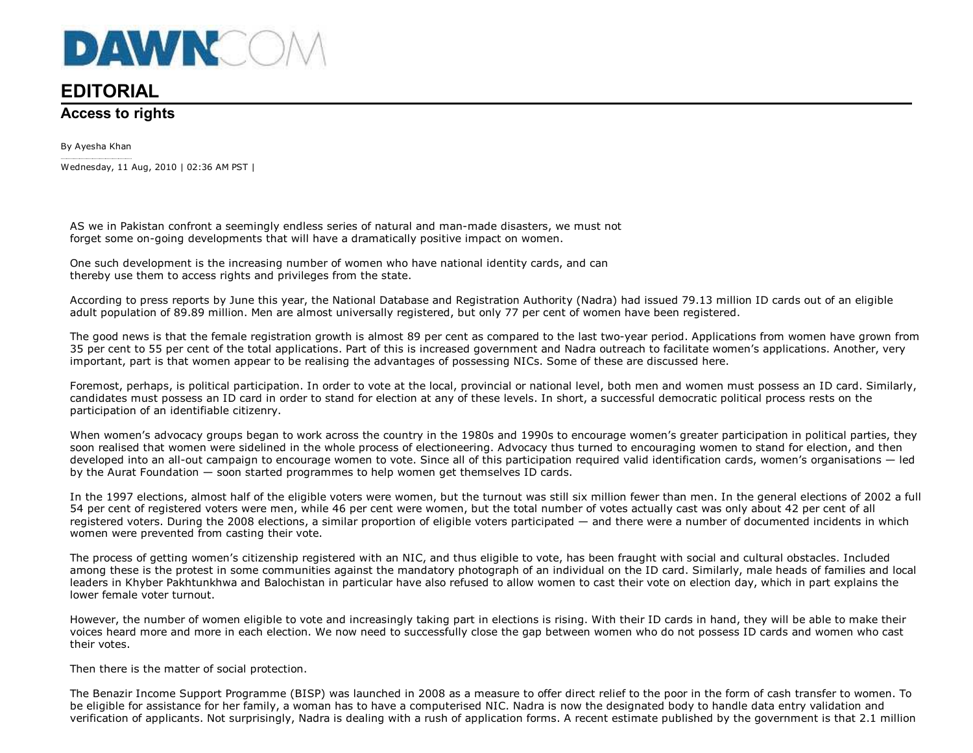

## **EDITORIAL**

## **Access to rights**

By Ayesha KhanWednesday, 11 Aug, 2010 | 02:36 AM PST |

AS we in Pakistan confront a seemingly endless series of natural and man-made disasters, we must notforget some on-going developments that will have a dramatically positive impact on women.

One such development is the increasing number of women who have national identity cards, and canthereby use them to access rights and privileges from the state.

According to press reports by June this year, the National Database and Registration Authority (Nadra) had issued 79.13 million ID cards out of an eligibleadult population of 89.89 million. Men are almost universally registered, but only 77 per cent of women have been registered.

The good news is that the female registration growth is almost 89 per cent as compared to the last two-year period. Applications from women have grown from35 per cent to 55 per cent of the total applications. Part of this is increased government and Nadra outreach to facilitate women's applications. Another, veryimportant, part is that women appear to be realising the advantages of possessing NICs. Some of these are discussed here.

Foremost, perhaps, is political participation. In order to vote at the local, provincial or national level, both men and women must possess an ID card. Similarly,candidates must possess an ID card in order to stand for election at any of these levels. In short, a successful democratic political process rests on theparticipation of an identifiable citizenry.

When women's advocacy groups began to work across the country in the 1980s and 1990s to encourage women's greater participation in political parties, theysoon realised that women were sidelined in the whole process of electioneering. Advocacy thus turned to encouraging women to stand for election, and then developed into an all-out campaign to encourage women to vote. Since all of this participation required valid identification cards, women's organisations — ledby the Aurat Foundation — soon started programmes to help women get themselves ID cards.

In the 1997 elections, almost half of the eligible voters were women, but the turnout was still six million fewer than men. In the general elections of 2002 a full54 per cent of registered voters were men, while 46 per cent were women, but the total number of votes actually cast was only about 42 per cent of all registered voters. During the 2008 elections, a similar proportion of eligible voters participated — and there were a number of documented incidents in whichwomen were prevented from casting their vote.

The process of getting women's citizenship registered with an NIC, and thus eligible to vote, has been fraught with social and cultural obstacles. Included among these is the protest in some communities against the mandatory photograph of an individual on the ID card. Similarly, male heads of families and localleaders in Khyber Pakhtunkhwa and Balochistan in particular have also refused to allow women to cast their vote on election day, which in part explains thelower female voter turnout.

However, the number of women eligible to vote and increasingly taking part in elections is rising. With their ID cards in hand, they will be able to make their voices heard more and more in each election. We now need to successfully close the gap between women who do not possess ID cards and women who casttheir votes.

Then there is the matter of social protection.

The Benazir Income Support Programme (BISP) was launched in 2008 as a measure to offer direct relief to the poor in the form of cash transfer to women. Tobe eligible for assistance for her family, a woman has to have a computerised NIC. Nadra is now the designated body to handle data entry validation and verification of applicants. Not surprisingly, Nadra is dealing with a rush of application forms. A recent estimate published by the government is that 2.1 million